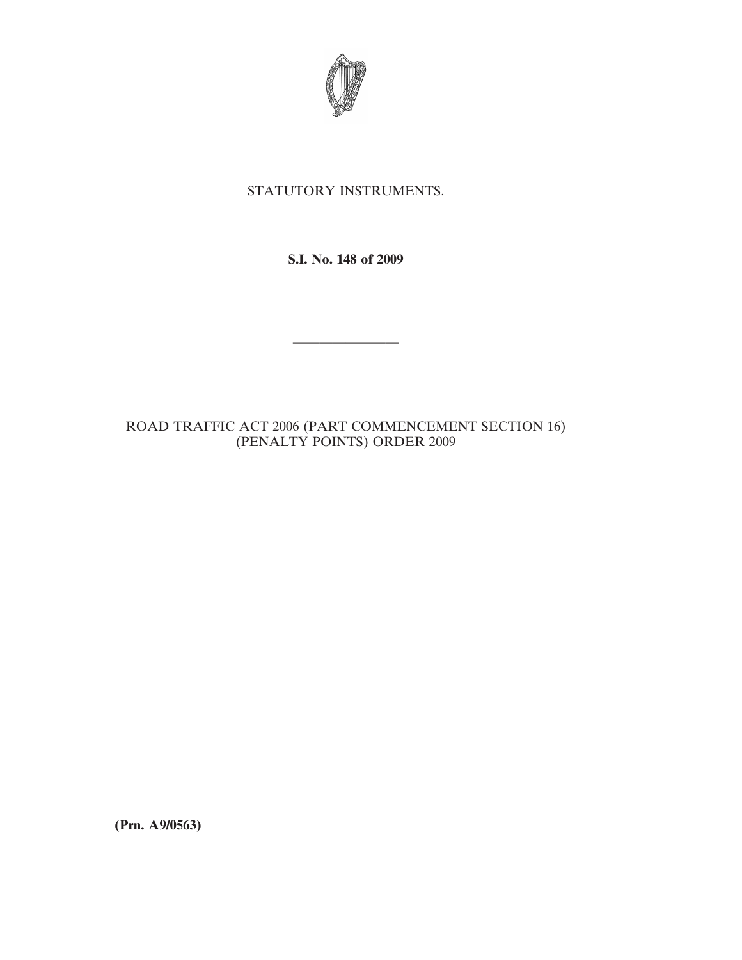

## STATUTORY INSTRUMENTS.

**S.I. No. 148 of 2009**

————————

## ROAD TRAFFIC ACT 2006 (PART COMMENCEMENT SECTION 16) (PENALTY POINTS) ORDER 2009

**(Prn. A9/0563)**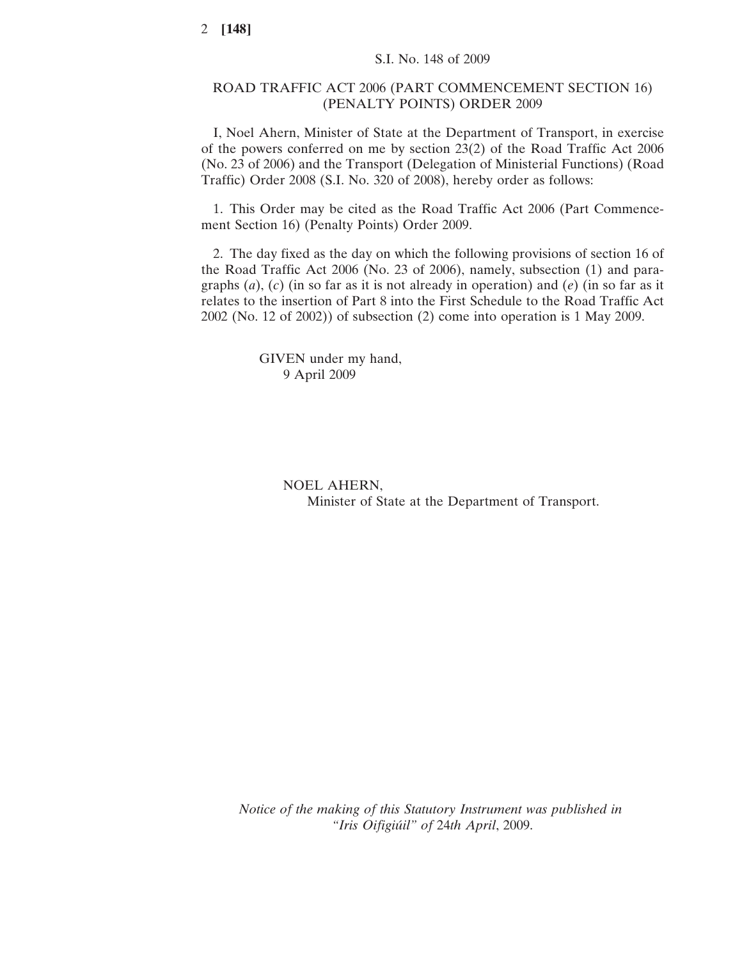## ROAD TRAFFIC ACT 2006 (PART COMMENCEMENT SECTION 16) (PENALTY POINTS) ORDER 2009

I, Noel Ahern, Minister of State at the Department of Transport, in exercise of the powers conferred on me by section 23(2) of the Road Traffic Act 2006 (No. 23 of 2006) and the Transport (Delegation of Ministerial Functions) (Road Traffic) Order 2008 (S.I. No. 320 of 2008), hereby order as follows:

1. This Order may be cited as the Road Traffic Act 2006 (Part Commencement Section 16) (Penalty Points) Order 2009.

2. The day fixed as the day on which the following provisions of section 16 of the Road Traffic Act 2006 (No. 23 of 2006), namely, subsection (1) and paragraphs (*a*), (*c*) (in so far as it is not already in operation) and (*e*) (in so far as it relates to the insertion of Part 8 into the First Schedule to the Road Traffic Act 2002 (No. 12 of 2002)) of subsection (2) come into operation is 1 May 2009.

> GIVEN under my hand, 9 April 2009

> > NOEL AHERN, Minister of State at the Department of Transport.

*Notice of the making of this Statutory Instrument was published in "Iris Oifigiu´il" of* 24*th April*, 2009.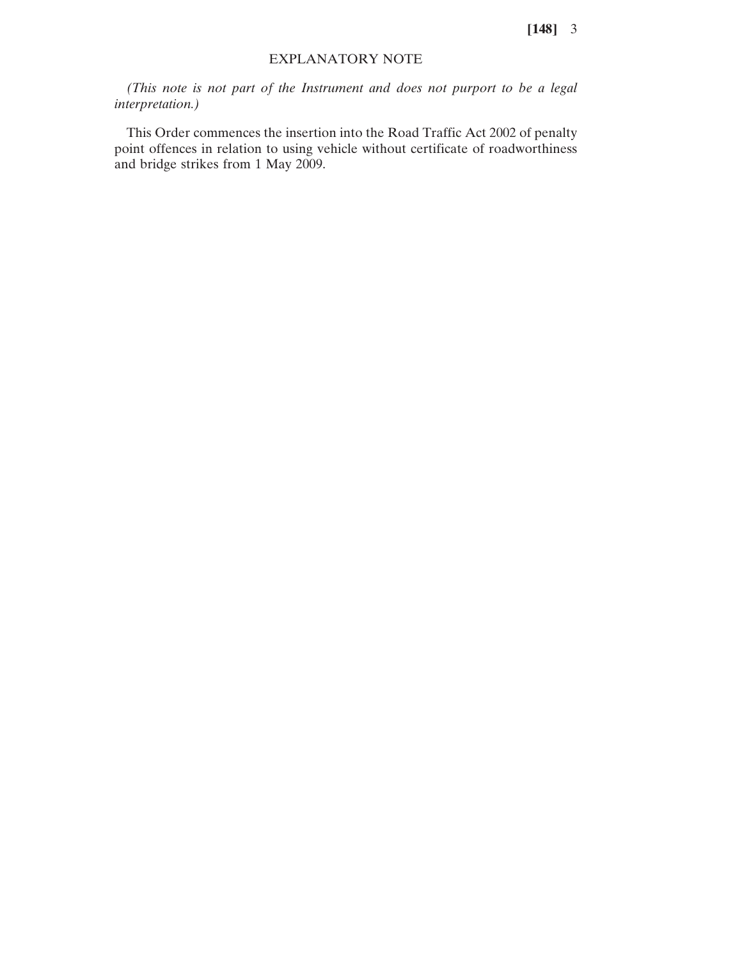**[148]** 3

## EXPLANATORY NOTE

*(This note is not part of the Instrument and does not purport to be a legal interpretation.)*

This Order commences the insertion into the Road Traffic Act 2002 of penalty point offences in relation to using vehicle without certificate of roadworthiness and bridge strikes from 1 May 2009.